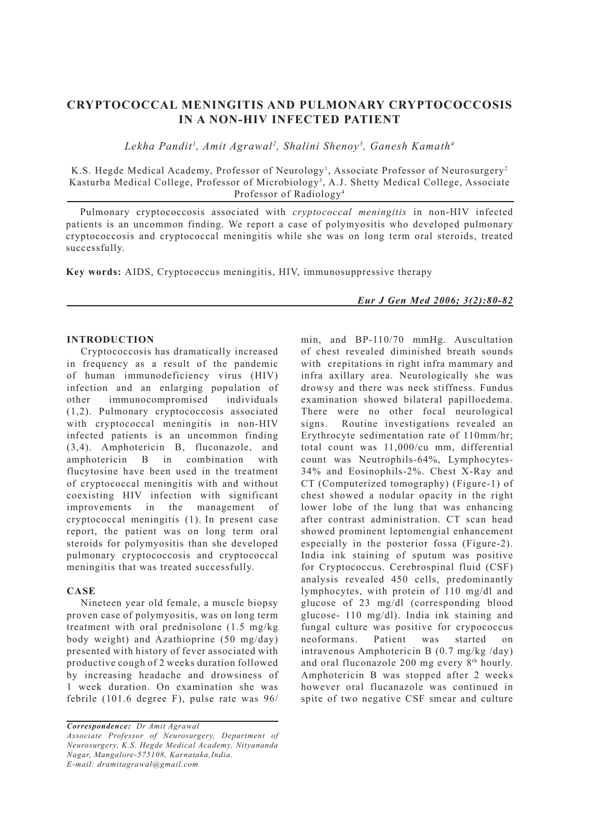# **CRYPTOCOCCAL MENINGITIS AND PULMONARY CRYPTOCOCCOSIS IN A NON-HIV INFECTED PATIENT**

*Lekha Pandit1 , Amit Agrawal2 , Shalini Shenoy3 , Ganesh Kamath4*

K.S. Hegde Medical Academy, Professor of Neurology<sup>1</sup>, Associate Professor of Neurosurgery<sup>2</sup> Kasturba Medical College, Professor of Microbiology<sup>3</sup>, A.J. Shetty Medical College, Associate Professor of Radiology4

Pulmonary cryptococcosis associated with *cryptococcal meningitis* in non-HIV infected patients is an uncommon finding. We report a case of polymyositis who developed pulmonary cryptococcosis and cryptococcal meningitis while she was on long term oral steroids, treated successfully.

**Key words:** AIDS, Cryptococcus meningitis, HIV, immunosuppressive therapy

### **INTRODUCTION**

Cryptococcosis has dramatically increased in frequency as a result of the pandemic of human immunodeficiency virus (HIV) infection and an enlarging population of other immunocompromised individuals (1,2). Pulmonary cryptococcosis associated with cryptococcal meningitis in non-HIV infected patients is an uncommon finding (3,4). Amphotericin B, fluconazole, and amphotericin B in combination with flucytosine have been used in the treatment of cryptococcal meningitis with and without coexisting HIV infection with significant improvements in the management of cryptococcal meningitis (1). In present case report, the patient was on long term oral steroids for polymyositis than she developed pulmonary cryptococcosis and cryptococcal meningitis that was treated successfully.

## **CASE**

Nineteen year old female, a muscle biopsy proven case of polymyositis, was on long term treatment with oral prednisolone (1.5 mg/kg body weight) and Azathioprine (50 mg/day) presented with history of fever associated with productive cough of 2 weeks duration followed by increasing headache and drowsiness of 1 week duration. On examination she was febrile (101.6 degree F), pulse rate was 96/

*Correspondence: Dr Amit Agrawal Associate Professor of Neurosurgery, Department of Neurosurgery, K.S. Hegde Medical Academy, Nityananda Nagar, Mangalore-575108, Karnataka,India. E-mail: dramitagrawal@gmail.com*

*Eur J Gen Med 2006; 3(2):80-82*

min, and BP-110/70 mmHg. Auscultation of chest revealed diminished breath sounds with crepitations in right infra mammary and infra axillary area. Neurologically she was drowsy and there was neck stiffness. Fundus examination showed bilateral papilloedema. There were no other focal neurological signs. Routine investigations revealed an Erythrocyte sedimentation rate of 110mm/hr; total count was 11,000/cu mm, differential count was Neutrophils-64%, Lymphocytes-34% and Eosinophils-2%. Chest X-Ray and CT (Computerized tomography) (Figure-1) of chest showed a nodular opacity in the right lower lobe of the lung that was enhancing after contrast administration. CT scan head showed prominent leptomengial enhancement especially in the posterior fossa (Figure-2). India ink staining of sputum was positive for Cryptococcus. Cerebrospinal fluid (CSF) analysis revealed 450 cells, predominantly lymphocytes, with protein of 110 mg/dl and glucose of 23 mg/dl (corresponding blood glucose- 110 mg/dl). India ink staining and fungal culture was positive for crypococcus neoformans. Patient was started on intravenous Amphotericin B (0.7 mg/kg /day) and oral fluconazole 200 mg every 8<sup>th</sup> hourly. Amphotericin B was stopped after 2 weeks however oral flucanazole was continued in spite of two negative CSF smear and culture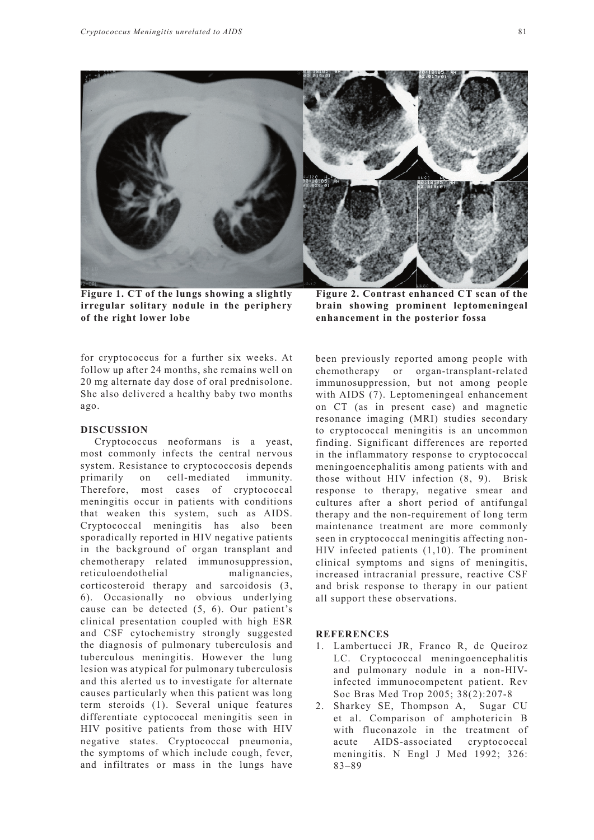

**Figure 1. CT of the lungs showing a slightly irregular solitary nodule in the periphery of the right lower lobe**

**Figure 2. Contrast enhanced CT scan of the brain showing prominent leptomeningeal enhancement in the posterior fossa**

for cryptococcus for a further six weeks. At follow up after 24 months, she remains well on 20 mg alternate day dose of oral prednisolone. She also delivered a healthy baby two months ago.

### **DISCUSSION**

Cryptococcus neoformans is a yeast, most commonly infects the central nervous system. Resistance to cryptococcosis depends primarily on cell-mediated immunity. Therefore, most cases of cryptococcal meningitis occur in patients with conditions that weaken this system, such as AIDS. Cryptococcal meningitis has also been sporadically reported in HIV negative patients in the background of organ transplant and chemotherapy related immunosuppression, reticuloendothelial malignancies, corticosteroid therapy and sarcoidosis (3, 6). Occasionally no obvious underlying cause can be detected (5, 6). Our patient's clinical presentation coupled with high ESR and CSF cytochemistry strongly suggested the diagnosis of pulmonary tuberculosis and tuberculous meningitis. However the lung lesion was atypical for pulmonary tuberculosis and this alerted us to investigate for alternate causes particularly when this patient was long term steroids (1). Several unique features differentiate cyptococcal meningitis seen in HIV positive patients from those with HIV negative states. Cryptococcal pneumonia, the symptoms of which include cough, fever, and infiltrates or mass in the lungs have been previously reported among people with chemotherapy or organ-transplant-related immunosuppression, but not among people with AIDS (7). Leptomeningeal enhancement on CT (as in present case) and magnetic resonance imaging (MRI) studies secondary to cryptococcal meningitis is an uncommon finding. Significant differences are reported in the inflammatory response to cryptococcal meningoencephalitis among patients with and those without HIV infection (8, 9). Brisk response to therapy, negative smear and cultures after a short period of antifungal therapy and the non-requirement of long term maintenance treatment are more commonly seen in cryptococcal meningitis affecting non-HIV infected patients (1,10). The prominent clinical symptoms and signs of meningitis, increased intracranial pressure, reactive CSF and brisk response to therapy in our patient all support these observations.

# **REFERENCES**

- 1. Lambertucci JR, Franco R, de Queiroz LC. Cryptococcal meningoencephalitis and pulmonary nodule in a non-HIVinfected immunocompetent patient. Rev Soc Bras Med Trop 2005; 38(2):207-8
- 2. Sharkey SE, Thompson A, Sugar CU et al. Comparison of amphotericin B with fluconazole in the treatment of acute AIDS-associated cryptococcal meningitis. N Engl J Med 1992; 326: 83–89